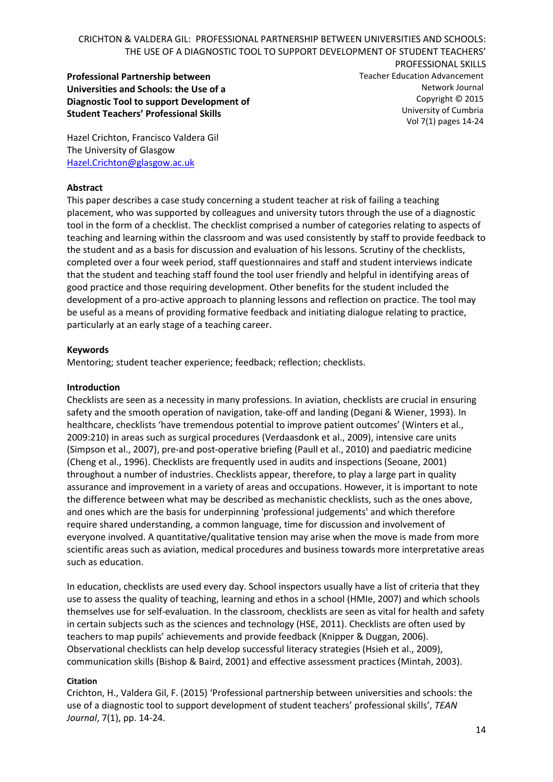**Professional Partnership between Universities and Schools: the Use of a Diagnostic Tool to support Development of Student Teachers' Professional Skills**

PROFESSIONAL SKILLS Teacher Education Advancement Network Journal Copyright © 2015 University of Cumbria Vol 7(1) pages 14-24

Hazel Crichton, Francisco Valdera Gil The University of Glasgow [Hazel.Crichton@glasgow.ac.uk](mailto:Hazel.Crichton@glasgow.ac.uk)

### **Abstract**

This paper describes a case study concerning a student teacher at risk of failing a teaching placement, who was supported by colleagues and university tutors through the use of a diagnostic tool in the form of a checklist. The checklist comprised a number of categories relating to aspects of teaching and learning within the classroom and was used consistently by staff to provide feedback to the student and as a basis for discussion and evaluation of his lessons. Scrutiny of the checklists, completed over a four week period, staff questionnaires and staff and student interviews indicate that the student and teaching staff found the tool user friendly and helpful in identifying areas of good practice and those requiring development. Other benefits for the student included the development of a pro-active approach to planning lessons and reflection on practice. The tool may be useful as a means of providing formative feedback and initiating dialogue relating to practice, particularly at an early stage of a teaching career.

## **Keywords**

Mentoring; student teacher experience; feedback; reflection; checklists.

### **Introduction**

Checklists are seen as a necessity in many professions. In aviation, checklists are crucial in ensuring safety and the smooth operation of navigation, take-off and landing (Degani & Wiener, 1993). In healthcare, checklists 'have tremendous potential to improve patient outcomes' (Winters et al., 2009:210) in areas such as surgical procedures (Verdaasdonk et al., 2009), intensive care units (Simpson et al., 2007), pre-and post-operative briefing (Paull et al., 2010) and paediatric medicine (Cheng et al., 1996). Checklists are frequently used in audits and inspections (Seoane, 2001) throughout a number of industries. Checklists appear, therefore, to play a large part in quality assurance and improvement in a variety of areas and occupations. However, it is important to note the difference between what may be described as mechanistic checklists, such as the ones above, and ones which are the basis for underpinning 'professional judgements' and which therefore require shared understanding, a common language, time for discussion and involvement of everyone involved. A quantitative/qualitative tension may arise when the move is made from more scientific areas such as aviation, medical procedures and business towards more interpretative areas such as education.

In education, checklists are used every day. School inspectors usually have a list of criteria that they use to assess the quality of teaching, learning and ethos in a school (HMIe, 2007) and which schools themselves use for self-evaluation. In the classroom, checklists are seen as vital for health and safety in certain subjects such as the sciences and technology (HSE, 2011). Checklists are often used by teachers to map pupils' achievements and provide feedback (Knipper & Duggan, 2006). Observational checklists can help develop successful literacy strategies (Hsieh et al., 2009), communication skills (Bishop & Baird, 2001) and effective assessment practices (Mintah, 2003).

### **Citation**

Crichton, H., Valdera Gil, F. (2015) 'Professional partnership between universities and schools: the use of a diagnostic tool to support development of student teachers' professional skills', *TEAN Journal*, 7(1), pp. 14-24.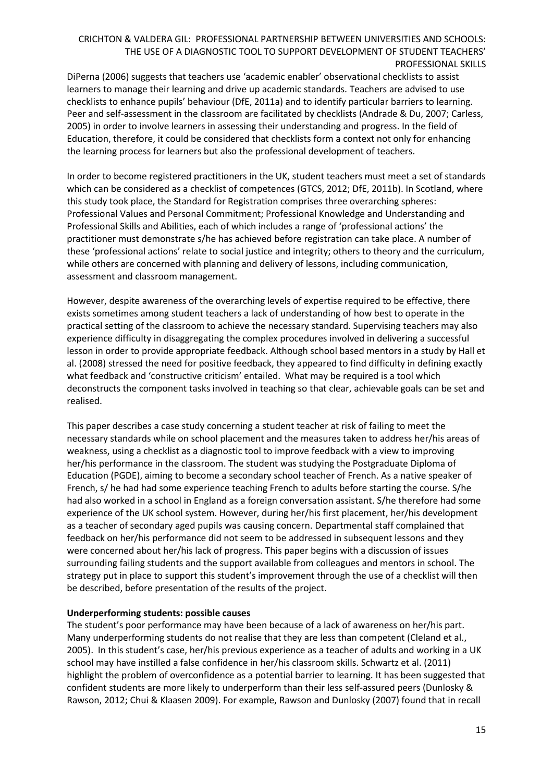DiPerna (2006) suggests that teachers use 'academic enabler' observational checklists to assist learners to manage their learning and drive up academic standards. Teachers are advised to use checklists to enhance pupils' behaviour (DfE, 2011a) and to identify particular barriers to learning. Peer and self-assessment in the classroom are facilitated by checklists (Andrade & Du, 2007; Carless, 2005) in order to involve learners in assessing their understanding and progress. In the field of Education, therefore, it could be considered that checklists form a context not only for enhancing the learning process for learners but also the professional development of teachers.

In order to become registered practitioners in the UK, student teachers must meet a set of standards which can be considered as a checklist of competences (GTCS, 2012; DfE, 2011b). In Scotland, where this study took place, the Standard for Registration comprises three overarching spheres: Professional Values and Personal Commitment; Professional Knowledge and Understanding and Professional Skills and Abilities, each of which includes a range of 'professional actions' the practitioner must demonstrate s/he has achieved before registration can take place. A number of these 'professional actions' relate to social justice and integrity; others to theory and the curriculum, while others are concerned with planning and delivery of lessons, including communication, assessment and classroom management.

However, despite awareness of the overarching levels of expertise required to be effective, there exists sometimes among student teachers a lack of understanding of how best to operate in the practical setting of the classroom to achieve the necessary standard. Supervising teachers may also experience difficulty in disaggregating the complex procedures involved in delivering a successful lesson in order to provide appropriate feedback. Although school based mentors in a study by Hall et al. (2008) stressed the need for positive feedback, they appeared to find difficulty in defining exactly what feedback and 'constructive criticism' entailed. What may be required is a tool which deconstructs the component tasks involved in teaching so that clear, achievable goals can be set and realised.

This paper describes a case study concerning a student teacher at risk of failing to meet the necessary standards while on school placement and the measures taken to address her/his areas of weakness, using a checklist as a diagnostic tool to improve feedback with a view to improving her/his performance in the classroom. The student was studying the Postgraduate Diploma of Education (PGDE), aiming to become a secondary school teacher of French. As a native speaker of French, s/ he had had some experience teaching French to adults before starting the course. S/he had also worked in a school in England as a foreign conversation assistant. S/he therefore had some experience of the UK school system. However, during her/his first placement, her/his development as a teacher of secondary aged pupils was causing concern. Departmental staff complained that feedback on her/his performance did not seem to be addressed in subsequent lessons and they were concerned about her/his lack of progress. This paper begins with a discussion of issues surrounding failing students and the support available from colleagues and mentors in school. The strategy put in place to support this student's improvement through the use of a checklist will then be described, before presentation of the results of the project.

### **Underperforming students: possible causes**

The student's poor performance may have been because of a lack of awareness on her/his part. Many underperforming students do not realise that they are less than competent (Cleland et al., 2005). In this student's case, her/his previous experience as a teacher of adults and working in a UK school may have instilled a false confidence in her/his classroom skills. Schwartz et al. (2011) highlight the problem of overconfidence as a potential barrier to learning. It has been suggested that confident students are more likely to underperform than their less self-assured peers (Dunlosky & Rawson, 2012; Chui & Klaasen 2009). For example, Rawson and Dunlosky (2007) found that in recall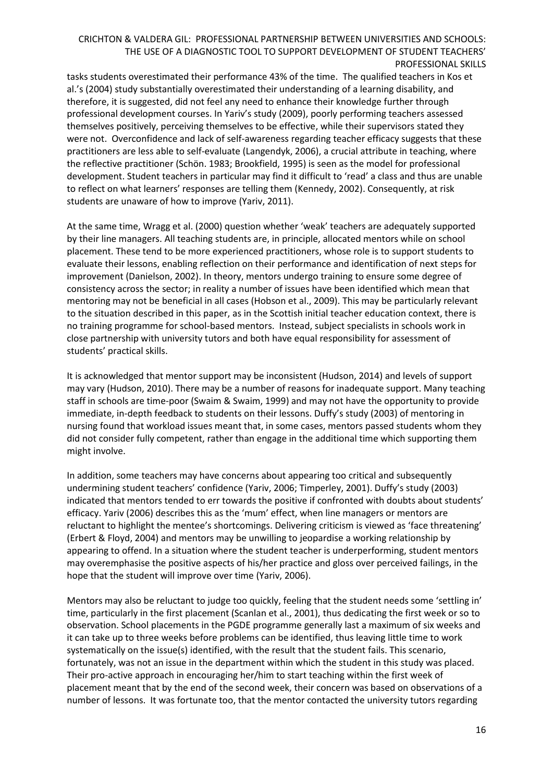tasks students overestimated their performance 43% of the time. The qualified teachers in Kos et al.'s (2004) study substantially overestimated their understanding of a learning disability, and therefore, it is suggested, did not feel any need to enhance their knowledge further through professional development courses. In Yariv's study (2009), poorly performing teachers assessed themselves positively, perceiving themselves to be effective, while their supervisors stated they were not. Overconfidence and lack of self-awareness regarding teacher efficacy suggests that these practitioners are less able to self-evaluate (Langendyk, 2006), a crucial attribute in teaching, where the reflective practitioner (Schön. 1983; Brookfield, 1995) is seen as the model for professional development. Student teachers in particular may find it difficult to 'read' a class and thus are unable to reflect on what learners' responses are telling them (Kennedy, 2002). Consequently, at risk students are unaware of how to improve (Yariv, 2011).

At the same time, Wragg et al. (2000) question whether 'weak' teachers are adequately supported by their line managers. All teaching students are, in principle, allocated mentors while on school placement. These tend to be more experienced practitioners, whose role is to support students to evaluate their lessons, enabling reflection on their performance and identification of next steps for improvement (Danielson, 2002). In theory, mentors undergo training to ensure some degree of consistency across the sector; in reality a number of issues have been identified which mean that mentoring may not be beneficial in all cases (Hobson et al., 2009). This may be particularly relevant to the situation described in this paper, as in the Scottish initial teacher education context, there is no training programme for school-based mentors. Instead, subject specialists in schools work in close partnership with university tutors and both have equal responsibility for assessment of students' practical skills.

It is acknowledged that mentor support may be inconsistent (Hudson, 2014) and levels of support may vary (Hudson, 2010). There may be a number of reasons for inadequate support. Many teaching staff in schools are time-poor (Swaim & Swaim, 1999) and may not have the opportunity to provide immediate, in-depth feedback to students on their lessons. Duffy's study (2003) of mentoring in nursing found that workload issues meant that, in some cases, mentors passed students whom they did not consider fully competent, rather than engage in the additional time which supporting them might involve.

In addition, some teachers may have concerns about appearing too critical and subsequently undermining student teachers' confidence (Yariv, 2006; Timperley, 2001). Duffy's study (2003) indicated that mentors tended to err towards the positive if confronted with doubts about students' efficacy. Yariv (2006) describes this as the 'mum' effect, when line managers or mentors are reluctant to highlight the mentee's shortcomings. Delivering criticism is viewed as 'face threatening' (Erbert & Floyd, 2004) and mentors may be unwilling to jeopardise a working relationship by appearing to offend. In a situation where the student teacher is underperforming, student mentors may overemphasise the positive aspects of his/her practice and gloss over perceived failings, in the hope that the student will improve over time (Yariv, 2006).

Mentors may also be reluctant to judge too quickly, feeling that the student needs some 'settling in' time, particularly in the first placement (Scanlan et al., 2001), thus dedicating the first week or so to observation. School placements in the PGDE programme generally last a maximum of six weeks and it can take up to three weeks before problems can be identified, thus leaving little time to work systematically on the issue(s) identified, with the result that the student fails. This scenario, fortunately, was not an issue in the department within which the student in this study was placed. Their pro-active approach in encouraging her/him to start teaching within the first week of placement meant that by the end of the second week, their concern was based on observations of a number of lessons. It was fortunate too, that the mentor contacted the university tutors regarding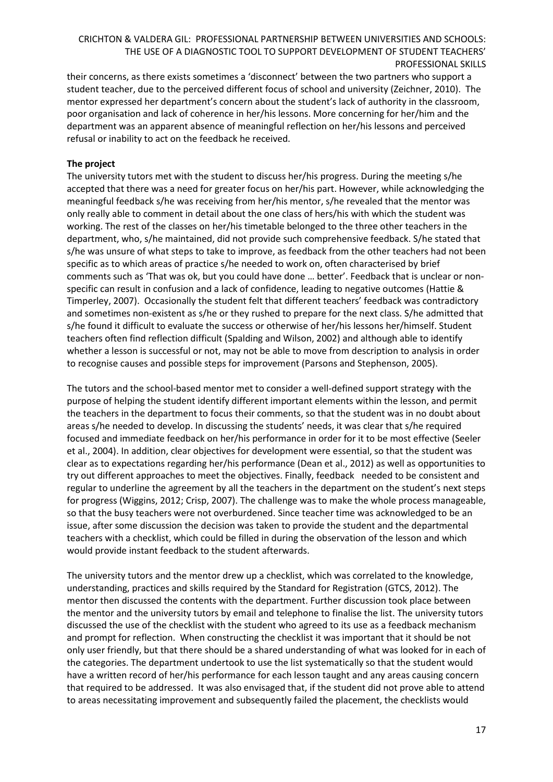their concerns, as there exists sometimes a 'disconnect' between the two partners who support a student teacher, due to the perceived different focus of school and university (Zeichner, 2010). The mentor expressed her department's concern about the student's lack of authority in the classroom, poor organisation and lack of coherence in her/his lessons. More concerning for her/him and the department was an apparent absence of meaningful reflection on her/his lessons and perceived refusal or inability to act on the feedback he received.

## **The project**

The university tutors met with the student to discuss her/his progress. During the meeting s/he accepted that there was a need for greater focus on her/his part. However, while acknowledging the meaningful feedback s/he was receiving from her/his mentor, s/he revealed that the mentor was only really able to comment in detail about the one class of hers/his with which the student was working. The rest of the classes on her/his timetable belonged to the three other teachers in the department, who, s/he maintained, did not provide such comprehensive feedback. S/he stated that s/he was unsure of what steps to take to improve, as feedback from the other teachers had not been specific as to which areas of practice s/he needed to work on, often characterised by brief comments such as 'That was ok, but you could have done … better'. Feedback that is unclear or nonspecific can result in confusion and a lack of confidence, leading to negative outcomes (Hattie & Timperley, 2007). Occasionally the student felt that different teachers' feedback was contradictory and sometimes non-existent as s/he or they rushed to prepare for the next class. S/he admitted that s/he found it difficult to evaluate the success or otherwise of her/his lessons her/himself. Student teachers often find reflection difficult (Spalding and Wilson, 2002) and although able to identify whether a lesson is successful or not, may not be able to move from description to analysis in order to recognise causes and possible steps for improvement (Parsons and Stephenson, 2005).

The tutors and the school-based mentor met to consider a well-defined support strategy with the purpose of helping the student identify different important elements within the lesson, and permit the teachers in the department to focus their comments, so that the student was in no doubt about areas s/he needed to develop. In discussing the students' needs, it was clear that s/he required focused and immediate feedback on her/his performance in order for it to be most effective (Seeler et al., 2004). In addition, clear objectives for development were essential, so that the student was clear as to expectations regarding her/his performance (Dean et al., 2012) as well as opportunities to try out different approaches to meet the objectives. Finally, feedback needed to be consistent and regular to underline the agreement by all the teachers in the department on the student's next steps for progress (Wiggins, 2012; Crisp, 2007). The challenge was to make the whole process manageable, so that the busy teachers were not overburdened. Since teacher time was acknowledged to be an issue, after some discussion the decision was taken to provide the student and the departmental teachers with a checklist, which could be filled in during the observation of the lesson and which would provide instant feedback to the student afterwards.

The university tutors and the mentor drew up a checklist, which was correlated to the knowledge, understanding, practices and skills required by the Standard for Registration (GTCS, 2012). The mentor then discussed the contents with the department. Further discussion took place between the mentor and the university tutors by email and telephone to finalise the list. The university tutors discussed the use of the checklist with the student who agreed to its use as a feedback mechanism and prompt for reflection. When constructing the checklist it was important that it should be not only user friendly, but that there should be a shared understanding of what was looked for in each of the categories. The department undertook to use the list systematically so that the student would have a written record of her/his performance for each lesson taught and any areas causing concern that required to be addressed. It was also envisaged that, if the student did not prove able to attend to areas necessitating improvement and subsequently failed the placement, the checklists would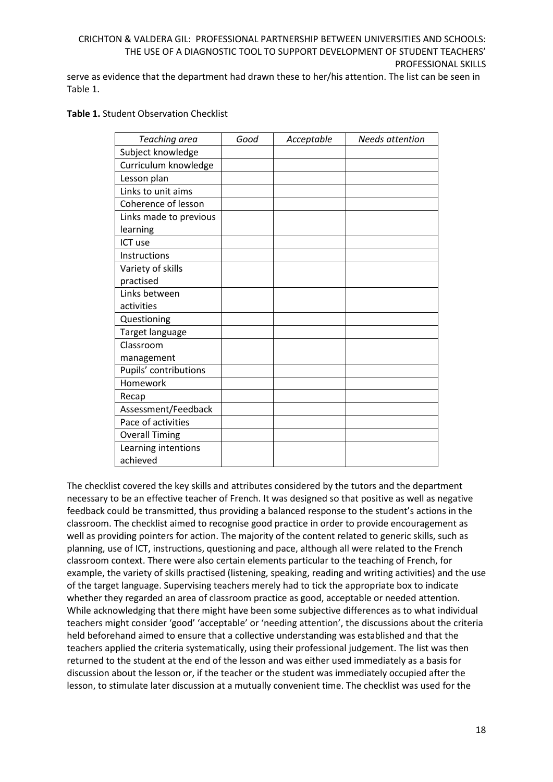serve as evidence that the department had drawn these to her/his attention. The list can be seen in Table 1.

### **Table 1.** Student Observation Checklist

| Teaching area          | Good | Acceptable | <b>Needs attention</b> |
|------------------------|------|------------|------------------------|
| Subject knowledge      |      |            |                        |
| Curriculum knowledge   |      |            |                        |
| Lesson plan            |      |            |                        |
| Links to unit aims     |      |            |                        |
| Coherence of lesson    |      |            |                        |
| Links made to previous |      |            |                        |
| learning               |      |            |                        |
| ICT use                |      |            |                        |
| Instructions           |      |            |                        |
| Variety of skills      |      |            |                        |
| practised              |      |            |                        |
| Links between          |      |            |                        |
| activities             |      |            |                        |
| Questioning            |      |            |                        |
| Target language        |      |            |                        |
| Classroom              |      |            |                        |
| management             |      |            |                        |
| Pupils' contributions  |      |            |                        |
| Homework               |      |            |                        |
| Recap                  |      |            |                        |
| Assessment/Feedback    |      |            |                        |
| Pace of activities     |      |            |                        |
| <b>Overall Timing</b>  |      |            |                        |
| Learning intentions    |      |            |                        |
| achieved               |      |            |                        |

The checklist covered the key skills and attributes considered by the tutors and the department necessary to be an effective teacher of French. It was designed so that positive as well as negative feedback could be transmitted, thus providing a balanced response to the student's actions in the classroom. The checklist aimed to recognise good practice in order to provide encouragement as well as providing pointers for action. The majority of the content related to generic skills, such as planning, use of ICT, instructions, questioning and pace, although all were related to the French classroom context. There were also certain elements particular to the teaching of French, for example, the variety of skills practised (listening, speaking, reading and writing activities) and the use of the target language. Supervising teachers merely had to tick the appropriate box to indicate whether they regarded an area of classroom practice as good, acceptable or needed attention. While acknowledging that there might have been some subjective differences as to what individual teachers might consider 'good' 'acceptable' or 'needing attention', the discussions about the criteria held beforehand aimed to ensure that a collective understanding was established and that the teachers applied the criteria systematically, using their professional judgement. The list was then returned to the student at the end of the lesson and was either used immediately as a basis for discussion about the lesson or, if the teacher or the student was immediately occupied after the lesson, to stimulate later discussion at a mutually convenient time. The checklist was used for the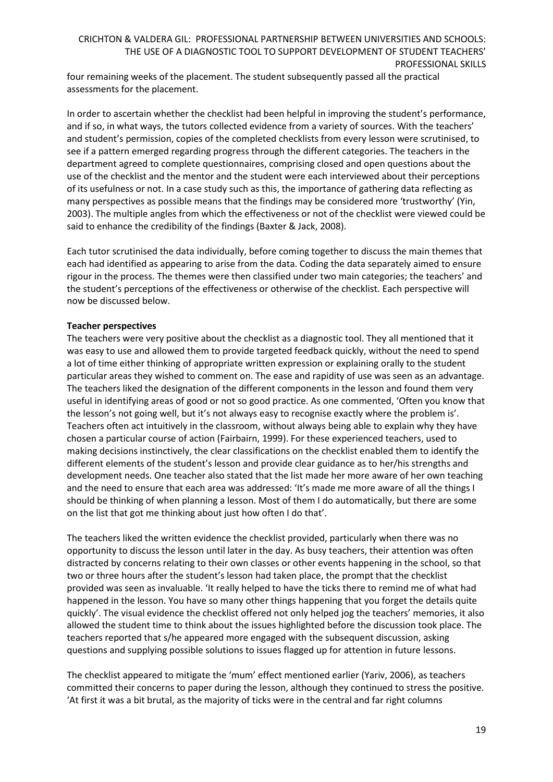four remaining weeks of the placement. The student subsequently passed all the practical assessments for the placement.

In order to ascertain whether the checklist had been helpful in improving the student's performance, and if so, in what ways, the tutors collected evidence from a variety of sources. With the teachers' and student's permission, copies of the completed checklists from every lesson were scrutinised, to see if a pattern emerged regarding progress through the different categories. The teachers in the department agreed to complete questionnaires, comprising closed and open questions about the use of the checklist and the mentor and the student were each interviewed about their perceptions of its usefulness or not. In a case study such as this, the importance of gathering data reflecting as many perspectives as possible means that the findings may be considered more 'trustworthy' (Yin, 2003). The multiple angles from which the effectiveness or not of the checklist were viewed could be said to enhance the credibility of the findings (Baxter & Jack, 2008).

Each tutor scrutinised the data individually, before coming together to discuss the main themes that each had identified as appearing to arise from the data. Coding the data separately aimed to ensure rigour in the process. The themes were then classified under two main categories; the teachers' and the student's perceptions of the effectiveness or otherwise of the checklist. Each perspective will now be discussed below.

# **Teacher perspectives**

The teachers were very positive about the checklist as a diagnostic tool. They all mentioned that it was easy to use and allowed them to provide targeted feedback quickly, without the need to spend a lot of time either thinking of appropriate written expression or explaining orally to the student particular areas they wished to comment on. The ease and rapidity of use was seen as an advantage. The teachers liked the designation of the different components in the lesson and found them very useful in identifying areas of good or not so good practice. As one commented, 'Often you know that the lesson's not going well, but it's not always easy to recognise exactly where the problem is'. Teachers often act intuitively in the classroom, without always being able to explain why they have chosen a particular course of action (Fairbairn, 1999). For these experienced teachers, used to making decisions instinctively, the clear classifications on the checklist enabled them to identify the different elements of the student's lesson and provide clear guidance as to her/his strengths and development needs. One teacher also stated that the list made her more aware of her own teaching and the need to ensure that each area was addressed: 'It's made me more aware of all the things I should be thinking of when planning a lesson. Most of them I do automatically, but there are some on the list that got me thinking about just how often I do that'.

The teachers liked the written evidence the checklist provided, particularly when there was no opportunity to discuss the lesson until later in the day. As busy teachers, their attention was often distracted by concerns relating to their own classes or other events happening in the school, so that two or three hours after the student's lesson had taken place, the prompt that the checklist provided was seen as invaluable. 'It really helped to have the ticks there to remind me of what had happened in the lesson. You have so many other things happening that you forget the details quite quickly'. The visual evidence the checklist offered not only helped jog the teachers' memories, it also allowed the student time to think about the issues highlighted before the discussion took place. The teachers reported that s/he appeared more engaged with the subsequent discussion, asking questions and supplying possible solutions to issues flagged up for attention in future lessons.

The checklist appeared to mitigate the 'mum' effect mentioned earlier (Yariv, 2006), as teachers committed their concerns to paper during the lesson, although they continued to stress the positive. 'At first it was a bit brutal, as the majority of ticks were in the central and far right columns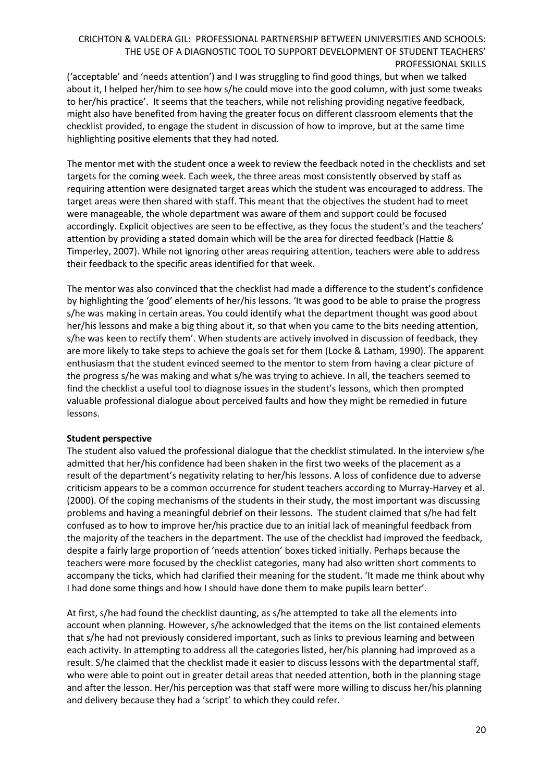('acceptable' and 'needs attention') and I was struggling to find good things, but when we talked about it, I helped her/him to see how s/he could move into the good column, with just some tweaks to her/his practice'. It seems that the teachers, while not relishing providing negative feedback, might also have benefited from having the greater focus on different classroom elements that the checklist provided, to engage the student in discussion of how to improve, but at the same time highlighting positive elements that they had noted.

The mentor met with the student once a week to review the feedback noted in the checklists and set targets for the coming week. Each week, the three areas most consistently observed by staff as requiring attention were designated target areas which the student was encouraged to address. The target areas were then shared with staff. This meant that the objectives the student had to meet were manageable, the whole department was aware of them and support could be focused accordingly. Explicit objectives are seen to be effective, as they focus the student's and the teachers' attention by providing a stated domain which will be the area for directed feedback (Hattie & Timperley, 2007). While not ignoring other areas requiring attention, teachers were able to address their feedback to the specific areas identified for that week.

The mentor was also convinced that the checklist had made a difference to the student's confidence by highlighting the 'good' elements of her/his lessons. 'It was good to be able to praise the progress s/he was making in certain areas. You could identify what the department thought was good about her/his lessons and make a big thing about it, so that when you came to the bits needing attention, s/he was keen to rectify them'. When students are actively involved in discussion of feedback, they are more likely to take steps to achieve the goals set for them (Locke & Latham, 1990). The apparent enthusiasm that the student evinced seemed to the mentor to stem from having a clear picture of the progress s/he was making and what s/he was trying to achieve. In all, the teachers seemed to find the checklist a useful tool to diagnose issues in the student's lessons, which then prompted valuable professional dialogue about perceived faults and how they might be remedied in future lessons.

### **Student perspective**

The student also valued the professional dialogue that the checklist stimulated. In the interview s/he admitted that her/his confidence had been shaken in the first two weeks of the placement as a result of the department's negativity relating to her/his lessons. A loss of confidence due to adverse criticism appears to be a common occurrence for student teachers according to Murray-Harvey et al. (2000). Of the coping mechanisms of the students in their study, the most important was discussing problems and having a meaningful debrief on their lessons. The student claimed that s/he had felt confused as to how to improve her/his practice due to an initial lack of meaningful feedback from the majority of the teachers in the department. The use of the checklist had improved the feedback, despite a fairly large proportion of 'needs attention' boxes ticked initially. Perhaps because the teachers were more focused by the checklist categories, many had also written short comments to accompany the ticks, which had clarified their meaning for the student. 'It made me think about why I had done some things and how I should have done them to make pupils learn better'.

At first, s/he had found the checklist daunting, as s/he attempted to take all the elements into account when planning. However, s/he acknowledged that the items on the list contained elements that s/he had not previously considered important, such as links to previous learning and between each activity. In attempting to address all the categories listed, her/his planning had improved as a result. S/he claimed that the checklist made it easier to discuss lessons with the departmental staff, who were able to point out in greater detail areas that needed attention, both in the planning stage and after the lesson. Her/his perception was that staff were more willing to discuss her/his planning and delivery because they had a 'script' to which they could refer.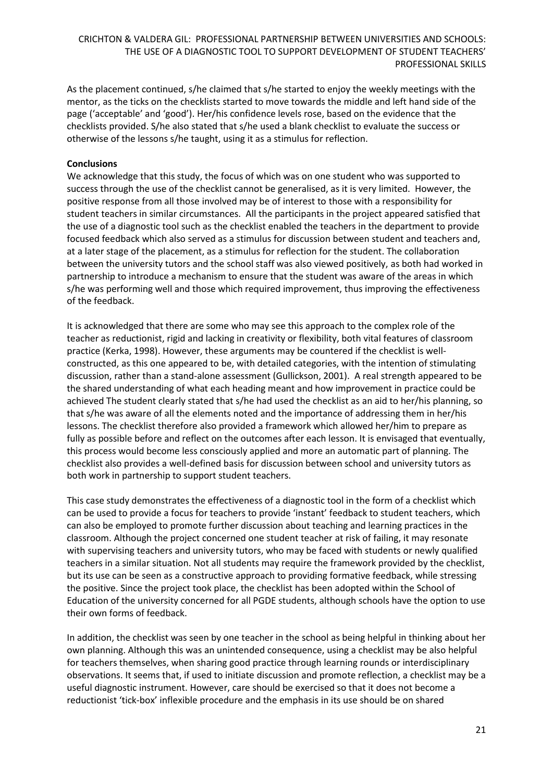As the placement continued, s/he claimed that s/he started to enjoy the weekly meetings with the mentor, as the ticks on the checklists started to move towards the middle and left hand side of the page ('acceptable' and 'good'). Her/his confidence levels rose, based on the evidence that the checklists provided. S/he also stated that s/he used a blank checklist to evaluate the success or otherwise of the lessons s/he taught, using it as a stimulus for reflection.

## **Conclusions**

We acknowledge that this study, the focus of which was on one student who was supported to success through the use of the checklist cannot be generalised, as it is very limited. However, the positive response from all those involved may be of interest to those with a responsibility for student teachers in similar circumstances. All the participants in the project appeared satisfied that the use of a diagnostic tool such as the checklist enabled the teachers in the department to provide focused feedback which also served as a stimulus for discussion between student and teachers and, at a later stage of the placement, as a stimulus for reflection for the student. The collaboration between the university tutors and the school staff was also viewed positively, as both had worked in partnership to introduce a mechanism to ensure that the student was aware of the areas in which s/he was performing well and those which required improvement, thus improving the effectiveness of the feedback.

It is acknowledged that there are some who may see this approach to the complex role of the teacher as reductionist, rigid and lacking in creativity or flexibility, both vital features of classroom practice (Kerka, 1998). However, these arguments may be countered if the checklist is wellconstructed, as this one appeared to be, with detailed categories, with the intention of stimulating discussion, rather than a stand-alone assessment (Gullickson, 2001). A real strength appeared to be the shared understanding of what each heading meant and how improvement in practice could be achieved The student clearly stated that s/he had used the checklist as an aid to her/his planning, so that s/he was aware of all the elements noted and the importance of addressing them in her/his lessons. The checklist therefore also provided a framework which allowed her/him to prepare as fully as possible before and reflect on the outcomes after each lesson. It is envisaged that eventually, this process would become less consciously applied and more an automatic part of planning. The checklist also provides a well-defined basis for discussion between school and university tutors as both work in partnership to support student teachers.

This case study demonstrates the effectiveness of a diagnostic tool in the form of a checklist which can be used to provide a focus for teachers to provide 'instant' feedback to student teachers, which can also be employed to promote further discussion about teaching and learning practices in the classroom. Although the project concerned one student teacher at risk of failing, it may resonate with supervising teachers and university tutors, who may be faced with students or newly qualified teachers in a similar situation. Not all students may require the framework provided by the checklist, but its use can be seen as a constructive approach to providing formative feedback, while stressing the positive. Since the project took place, the checklist has been adopted within the School of Education of the university concerned for all PGDE students, although schools have the option to use their own forms of feedback.

In addition, the checklist was seen by one teacher in the school as being helpful in thinking about her own planning. Although this was an unintended consequence, using a checklist may be also helpful for teachers themselves, when sharing good practice through learning rounds or interdisciplinary observations. It seems that, if used to initiate discussion and promote reflection, a checklist may be a useful diagnostic instrument. However, care should be exercised so that it does not become a reductionist 'tick-box' inflexible procedure and the emphasis in its use should be on shared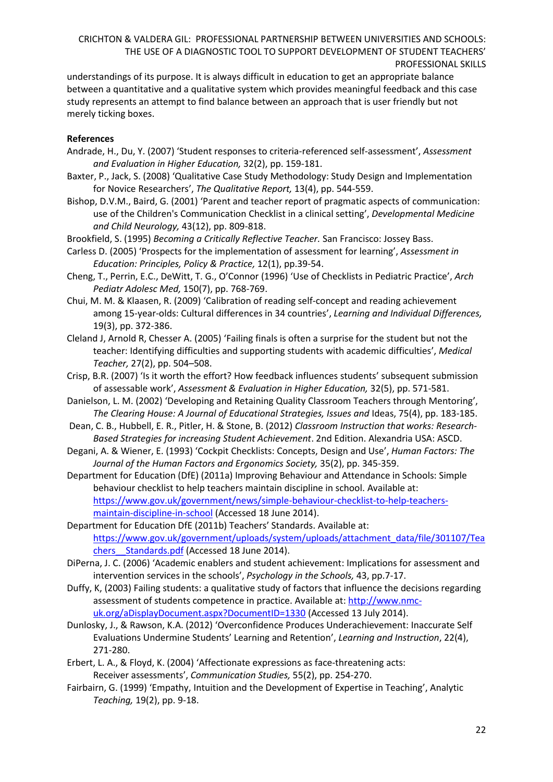understandings of its purpose. It is always difficult in education to get an appropriate balance between a quantitative and a qualitative system which provides meaningful feedback and this case study represents an attempt to find balance between an approach that is user friendly but not merely ticking boxes.

## **References**

- Andrade, H., Du, Y. (2007) 'Student responses to criteria-referenced self-assessment', *Assessment and Evaluation in Higher Education,* 32(2), pp. 159-181.
- Baxter, P., Jack, S. (2008) 'Qualitative Case Study Methodology: Study Design and Implementation for Novice Researchers', *The Qualitative Report,* 13(4), pp. 544-559.
- Bishop, D.V.M., Baird, G. (2001) 'Parent and teacher report of pragmatic aspects of communication: use of the Children's Communication Checklist in a clinical setting', *Developmental Medicine and Child Neurology,* 43(12), pp. 809-818.
- Brookfield, S. (1995) *Becoming a Critically Reflective Teacher.* San Francisco: Jossey Bass.
- Carless D. (2005) 'Prospects for the implementation of assessment for learning', *Assessment in Education: Principles, Policy & Practice,* 12(1), pp.39-54.
- Cheng, T., Perrin, E.C., DeWitt, T. G., O'Connor (1996) 'Use of Checklists in Pediatric Practice', *Arch Pediatr Adolesc Med,* 150(7), pp. 768-769.
- Chui, M. M. & Klaasen, R. (2009) 'Calibration of reading self-concept and reading achievement among 15-year-olds: Cultural differences in 34 countries', *Learning and Individual Differences,* 19(3), pp. 372-386.
- Cleland J, Arnold R, Chesser A. (2005) 'Failing finals is often a surprise for the student but not the teacher: Identifying difficulties and supporting students with academic difficulties', *Medical Teacher,* 27(2), pp. 504–508.
- Crisp, B.R. (2007) 'Is it worth the effort? How feedback influences students' subsequent submission of assessable work', *Assessment & Evaluation in Higher Education,* 32(5), pp. 571-581.
- Danielson, L. M. (2002) 'Developing and Retaining Quality Classroom Teachers through Mentoring', *The Clearing House: A Journal of Educational Strategies, Issues and* Ideas, 75(4), pp. 183-185.
- Dean, C. B., Hubbell, E. R., Pitler, H. & Stone, B. (2012) *Classroom Instruction that works: Research-Based Strategies for increasing Student Achievement*. 2nd Edition. Alexandria USA: ASCD.
- Degani, A. & Wiener, E. (1993) 'Cockpit Checklists: Concepts, Design and Use', *Human Factors: The Journal of the Human Factors and Ergonomics Society,* 35(2), pp. 345-359.
- Department for Education (DfE) (2011a) Improving Behaviour and Attendance in Schools: Simple behaviour checklist to help teachers maintain discipline in school. Available at: [https://www.gov.uk/government/news/simple-behaviour-checklist-to-help-teachers](https://www.gov.uk/government/news/simple-behaviour-checklist-to-help-teachers-maintain-discipline-in-school)[maintain-discipline-in-school](https://www.gov.uk/government/news/simple-behaviour-checklist-to-help-teachers-maintain-discipline-in-school) (Accessed 18 June 2014).
- Department for Education DfE (2011b) Teachers' Standards. Available at: [https://www.gov.uk/government/uploads/system/uploads/attachment\\_data/file/301107/Tea](https://www.gov.uk/government/uploads/system/uploads/attachment_data/file/301107/Teachers__Standards.pdf) chers Standards.pdf (Accessed 18 June 2014).
- DiPerna, J. C. (2006) 'Academic enablers and student achievement: Implications for assessment and intervention services in the schools', *Psychology in the Schools,* 43, pp.7-17.
- Duffy, K, (2003) Failing students: a qualitative study of factors that influence the decisions regarding assessment of students competence in practice. Available at: [http://www.nmc](http://www.nmc-uk.org/aDisplayDocument.aspx?DocumentID=1330)[uk.org/aDisplayDocument.aspx?DocumentID=1330](http://www.nmc-uk.org/aDisplayDocument.aspx?DocumentID=1330) (Accessed 13 July 2014).
- Dunlosky, J., & Rawson, K.A. (2012) 'Overconfidence Produces Underachievement: Inaccurate Self Evaluations Undermine Students' Learning and Retention', *Learning and Instruction*, 22(4), 271-280.
- Erbert, L. A., & Floyd, K. (2004) 'Affectionate expressions as face-threatening acts: Receiver assessments', *Communication Studies,* 55(2), pp. 254-270.
- Fairbairn, G. (1999) 'Empathy, Intuition and the Development of Expertise in Teaching', Analytic *Teaching,* 19(2), pp. 9-18.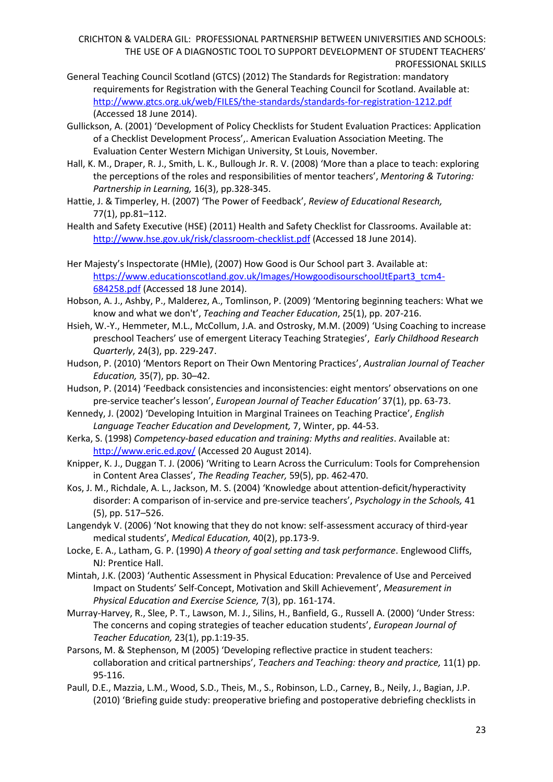- General Teaching Council Scotland (GTCS) (2012) The Standards for Registration: mandatory requirements for Registration with the General Teaching Council for Scotland. Available at: <http://www.gtcs.org.uk/web/FILES/the-standards/standards-for-registration-1212.pdf> (Accessed 18 June 2014).
- Gullickson, A. (2001) 'Development of Policy Checklists for Student Evaluation Practices: Application of a Checklist Development Process',. American Evaluation Association Meeting. The Evaluation Center Western Michigan University, St Louis, November.
- Hall, K. M., Draper, R. J., Smith, L. K., Bullough Jr. R. V. (2008) 'More than a place to teach: exploring the perceptions of the roles and responsibilities of mentor teachers', *Mentoring & Tutoring: Partnership in Learning,* 16(3), pp.328-345.
- Hattie, J. & Timperley, H. (2007) 'The Power of Feedback', *Review of Educational Research,* 77(1), pp.81–112.

Health and Safety Executive (HSE) (2011) Health and Safety Checklist for Classrooms. Available at: <http://www.hse.gov.uk/risk/classroom-checklist.pdf> (Accessed 18 June 2014).

- Her Majesty's Inspectorate (HMIe), (2007) How Good is Our School part 3. Available at: [https://www.educationscotland.gov.uk/Images/HowgoodisourschoolJtEpart3\\_tcm4-](https://www.educationscotland.gov.uk/Images/HowgoodisourschoolJtEpart3_tcm4-684258.pdf) [684258.pdf](https://www.educationscotland.gov.uk/Images/HowgoodisourschoolJtEpart3_tcm4-684258.pdf) (Accessed 18 June 2014).
- Hobson, A. J., Ashby, P., Malderez, A., Tomlinson, P. (2009) 'Mentoring beginning teachers: What we know and what we don't', *Teaching and Teacher Education*, 25(1), pp. 207-216.
- Hsieh, W.-Y., Hemmeter, M.L., McCollum, J.A. and Ostrosky, M.M. (2009) 'Using Coaching to increase preschool Teachers' use of emergent Literacy Teaching Strategies', *Early Childhood Research Quarterly*, 24(3), pp. 229-247.
- Hudson, P. (2010) 'Mentors Report on Their Own Mentoring Practices', *Australian Journal of Teacher Education,* 35(7), pp. 30–42.
- Hudson, P. (2014) 'Feedback consistencies and inconsistencies: eight mentors' observations on one pre-service teacher's lesson', *European Journal of Teacher Education'* 37(1), pp. 63-73.
- Kennedy, J. (2002) 'Developing Intuition in Marginal Trainees on Teaching Practice', *English Language Teacher Education and Development,* 7, Winter, pp. 44-53.
- Kerka, S. (1998) *Competency-based education and training: Myths and realities*. Available at: <http://www.eric.ed.gov/> (Accessed 20 August 2014).
- Knipper, K. J., Duggan T. J. (2006) 'Writing to Learn Across the Curriculum: Tools for Comprehension in Content Area Classes', *The Reading Teacher,* 59(5), pp. 462-470.
- Kos, J. M., Richdale, A. L., Jackson, M. S. (2004) 'Knowledge about attention-deficit/hyperactivity disorder: A comparison of in-service and pre-service teachers', *Psychology in the Schools,* 41 (5), pp. 517–526.
- Langendyk V. (2006) 'Not knowing that they do not know: self-assessment accuracy of third-year medical students', *Medical Education,* 40(2), pp.173-9.
- Locke, E. A., Latham, G. P. (1990) *A theory of goal setting and task performance*. Englewood Cliffs, NJ: Prentice Hall.
- Mintah, J.K. (2003) 'Authentic Assessment in Physical Education: Prevalence of Use and Perceived Impact on Students' Self-Concept, Motivation and Skill Achievement', *Measurement in Physical Education and Exercise Science,* 7(3), pp. 161-174.
- Murray-Harvey, R., Slee, P. T., Lawson, M. J., Silins, H., Banfield, G., Russell A. (2000) 'Under Stress: The concerns and coping strategies of teacher education students', *European Journal of Teacher Education,* 23(1), pp.1:19-35.
- Parsons, M. & Stephenson, M (2005) 'Developing reflective practice in student teachers: collaboration and critical partnerships', *Teachers and Teaching: theory and practice,* 11(1) pp. 95-116.
- Paull, D.E., Mazzia, L.M., Wood, S.D., Theis, M., S., Robinson, L.D., Carney, B., Neily, J., Bagian, J.P. (2010) 'Briefing guide study: preoperative briefing and postoperative debriefing checklists in